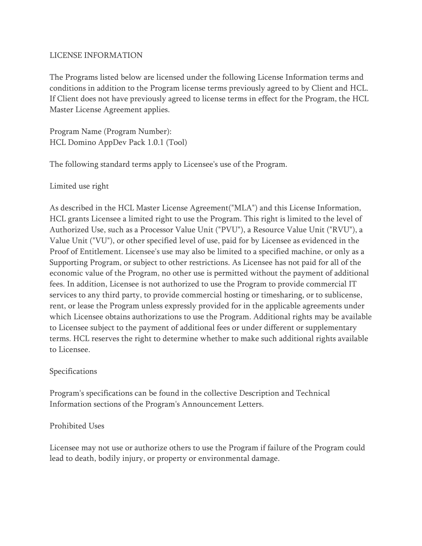## LICENSE INFORMATION

The Programs listed below are licensed under the following License Information terms and conditions in addition to the Program license terms previously agreed to by Client and HCL. If Client does not have previously agreed to license terms in effect for the Program, the HCL Master License Agreement applies.

Program Name (Program Number): HCL Domino AppDev Pack 1.0.1 (Tool)

The following standard terms apply to Licensee's use of the Program.

Limited use right

As described in the HCL Master License Agreement("MLA") and this License Information, HCL grants Licensee a limited right to use the Program. This right is limited to the level of Authorized Use, such as a Processor Value Unit ("PVU"), a Resource Value Unit ("RVU"), a Value Unit ("VU"), or other specified level of use, paid for by Licensee as evidenced in the Proof of Entitlement. Licensee's use may also be limited to a specified machine, or only as a Supporting Program, or subject to other restrictions. As Licensee has not paid for all of the economic value of the Program, no other use is permitted without the payment of additional fees. In addition, Licensee is not authorized to use the Program to provide commercial IT services to any third party, to provide commercial hosting or timesharing, or to sublicense, rent, or lease the Program unless expressly provided for in the applicable agreements under which Licensee obtains authorizations to use the Program. Additional rights may be available to Licensee subject to the payment of additional fees or under different or supplementary terms. HCL reserves the right to determine whether to make such additional rights available to Licensee.

## Specifications

Program's specifications can be found in the collective Description and Technical Information sections of the Program's Announcement Letters.

## Prohibited Uses

Licensee may not use or authorize others to use the Program if failure of the Program could lead to death, bodily injury, or property or environmental damage.